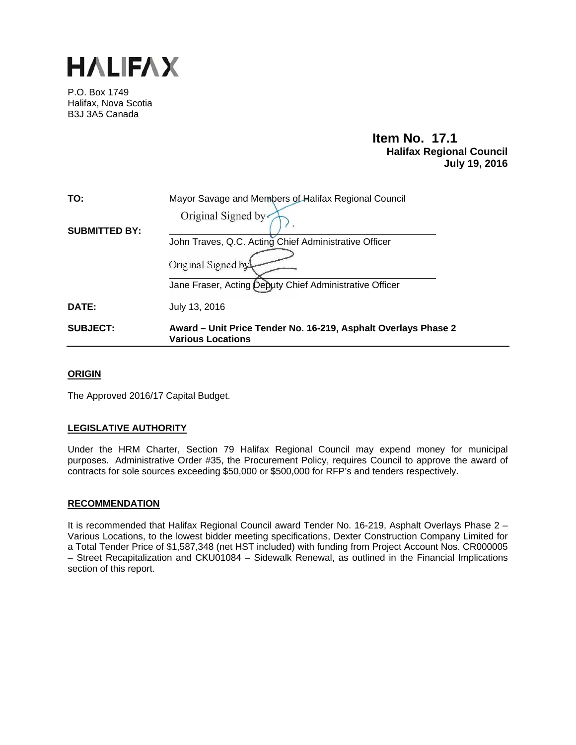

P.O. Box 1749 Halifax, Nova Scotia B3J 3A5 Canada

# **Item No. 17.1 Halifax Regional Council July 19, 2016**

| TO:                  | Mayor Savage and Members of Halifax Regional Council                                       |  |  |
|----------------------|--------------------------------------------------------------------------------------------|--|--|
|                      | Original Signed by                                                                         |  |  |
| <b>SUBMITTED BY:</b> |                                                                                            |  |  |
|                      | John Traves, Q.C. Acting Chief Administrative Officer                                      |  |  |
|                      | Original Signed by                                                                         |  |  |
|                      | Jane Fraser, Acting Deputy Chief Administrative Officer                                    |  |  |
| DATE:                | July 13, 2016                                                                              |  |  |
| <b>SUBJECT:</b>      | Award – Unit Price Tender No. 16-219, Asphalt Overlays Phase 2<br><b>Various Locations</b> |  |  |

## **ORIGIN**

The Approved 2016/17 Capital Budget.

## **LEGISLATIVE AUTHORITY**

Under the HRM Charter, Section 79 Halifax Regional Council may expend money for municipal purposes. Administrative Order #35, the Procurement Policy, requires Council to approve the award of contracts for sole sources exceeding \$50,000 or \$500,000 for RFP's and tenders respectively.

## **RECOMMENDATION**

It is recommended that Halifax Regional Council award Tender No. 16-219, Asphalt Overlays Phase 2 – Various Locations, to the lowest bidder meeting specifications, Dexter Construction Company Limited for a Total Tender Price of \$1,587,348 (net HST included) with funding from Project Account Nos. CR000005 – Street Recapitalization and CKU01084 – Sidewalk Renewal, as outlined in the Financial Implications section of this report.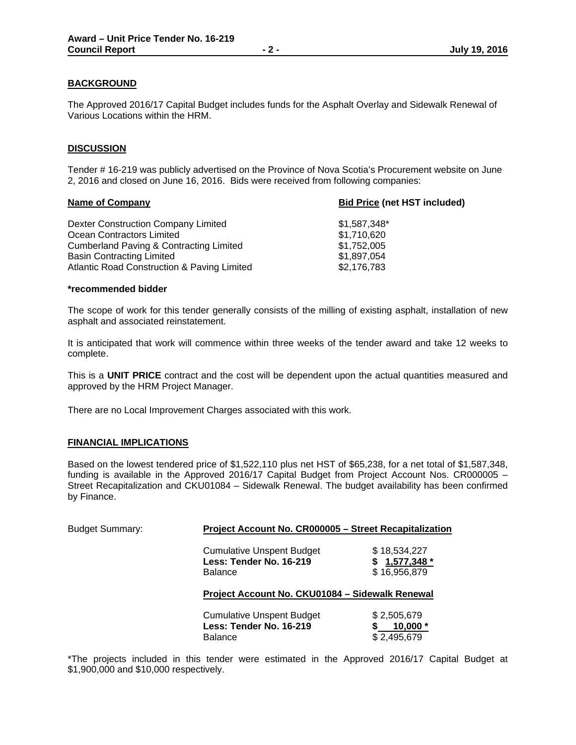## **BACKGROUND**

The Approved 2016/17 Capital Budget includes funds for the Asphalt Overlay and Sidewalk Renewal of Various Locations within the HRM.

## **DISCUSSION**

Tender # 16-219 was publicly advertised on the Province of Nova Scotia's Procurement website on June 2, 2016 and closed on June 16, 2016. Bids were received from following companies:

| <b>Bid Price (net HST included)</b> |  |
|-------------------------------------|--|
| \$1,587,348*                        |  |
| \$1,710,620                         |  |
| \$1,752,005                         |  |
| \$1,897,054                         |  |
| \$2,176,783                         |  |
|                                     |  |

#### **\*recommended bidder**

The scope of work for this tender generally consists of the milling of existing asphalt, installation of new asphalt and associated reinstatement.

It is anticipated that work will commence within three weeks of the tender award and take 12 weeks to complete.

This is a **UNIT PRICE** contract and the cost will be dependent upon the actual quantities measured and approved by the HRM Project Manager.

There are no Local Improvement Charges associated with this work.

#### **FINANCIAL IMPLICATIONS**

Based on the lowest tendered price of \$1,522,110 plus net HST of \$65,238, for a net total of \$1,587,348, funding is available in the Approved 2016/17 Capital Budget from Project Account Nos. CR000005 – Street Recapitalization and CKU01084 – Sidewalk Renewal. The budget availability has been confirmed by Finance.

| <b>Budget Summary:</b> | Project Account No. CR000005 - Street Recapitalization                        |                                                   |  |
|------------------------|-------------------------------------------------------------------------------|---------------------------------------------------|--|
|                        | <b>Cumulative Unspent Budget</b><br>Less: Tender No. 16-219<br><b>Balance</b> | \$18,534,227<br>1,577,348 *<br>S.<br>\$16,956,879 |  |
|                        | Project Account No. CKU01084 - Sidewalk Renewal                               |                                                   |  |
|                        | <b>Cumulative Unspent Budget</b><br>Less: Tender No. 16-219<br><b>Balance</b> | \$2,505,679<br>S<br>10,000 $*$<br>\$2,495,679     |  |

\*The projects included in this tender were estimated in the Approved 2016/17 Capital Budget at \$1,900,000 and \$10,000 respectively.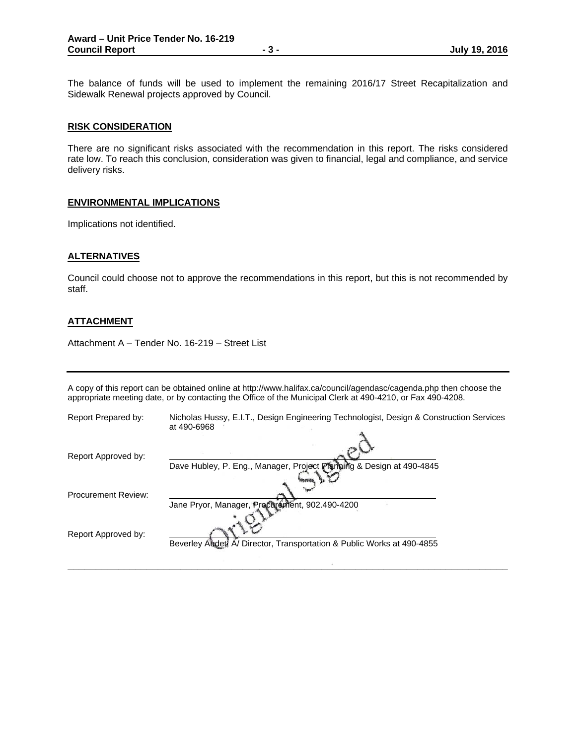The balance of funds will be used to implement the remaining 2016/17 Street Recapitalization and Sidewalk Renewal projects approved by Council.

#### **RISK CONSIDERATION**

There are no significant risks associated with the recommendation in this report. The risks considered rate low. To reach this conclusion, consideration was given to financial, legal and compliance, and service delivery risks.

#### **ENVIRONMENTAL IMPLICATIONS**

Implications not identified.

### **ALTERNATIVES**

Council could choose not to approve the recommendations in this report, but this is not recommended by staff.

## **ATTACHMENT**

Attachment A – Tender No. 16-219 – Street List

A copy of this report can be obtained online at http://www.halifax.ca/council/agendasc/cagenda.php then choose the appropriate meeting date, or by contacting the Office of the Municipal Clerk at 490-4210, or Fax 490-4208.

| Report Prepared by:        | Nicholas Hussy, E.I.T., Design Engineering Technologist, Design & Construction Services<br>at 490-6968 |
|----------------------------|--------------------------------------------------------------------------------------------------------|
| Report Approved by:        | Dave Hubley, P. Eng., Manager, Project Planning & Design at 490-4845                                   |
| <b>Procurement Review:</b> | Jane Pryor, Manager, Procurement, 902.490-4200                                                         |
| Report Approved by:        | Beverley Auder, A/ Director, Transportation & Public Works at 490-4855                                 |
|                            |                                                                                                        |